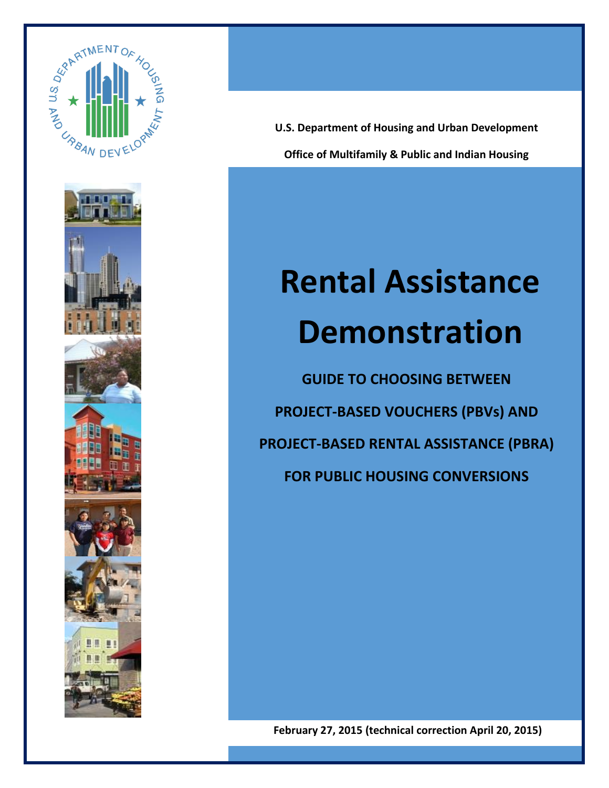



**Office of Multifamily & Public and Indian Housing U.S. Department of Housing and Urban Development** 

Welcome Guide

# **Rental Assistance Demonstration**

**GUIDE TO CHOOSING BETWEEN PROJECT-BASED VOUCHERS (PBVs) AND PROJECT-BASED RENTAL ASSISTANCE (PBRA) FOR PUBLIC HOUSING CONVERSIONS**

**February 27, 2015 (technical correction April 20, 2015)**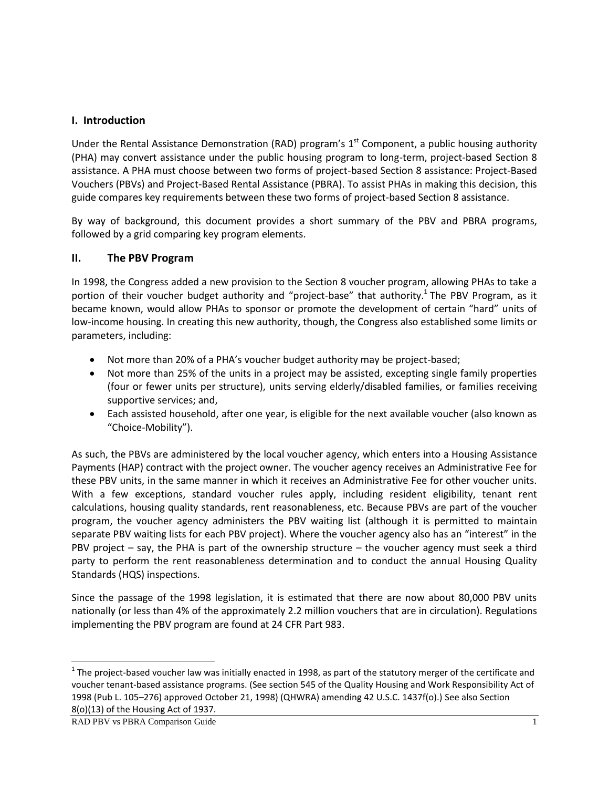#### **I. Introduction**

Under the Rental Assistance Demonstration (RAD) program's  $1<sup>st</sup>$  Component, a public housing authority (PHA) may convert assistance under the public housing program to long-term, project-based Section 8 assistance. A PHA must choose between two forms of project-based Section 8 assistance: Project-Based Vouchers (PBVs) and Project-Based Rental Assistance (PBRA). To assist PHAs in making this decision, this guide compares key requirements between these two forms of project-based Section 8 assistance.

By way of background, this document provides a short summary of the PBV and PBRA programs, followed by a grid comparing key program elements.

#### **II. The PBV Program**

In 1998, the Congress added a new provision to the Section 8 voucher program, allowing PHAs to take a portion of their voucher budget authority and "project-base" that authority.<sup>1</sup> The PBV Program, as it became known, would allow PHAs to sponsor or promote the development of certain "hard" units of low-income housing. In creating this new authority, though, the Congress also established some limits or parameters, including:

- Not more than 20% of a PHA's voucher budget authority may be project-based;
- Not more than 25% of the units in a project may be assisted, excepting single family properties (four or fewer units per structure), units serving elderly/disabled families, or families receiving supportive services; and,
- Each assisted household, after one year, is eligible for the next available voucher (also known as "Choice-Mobility").

As such, the PBVs are administered by the local voucher agency, which enters into a Housing Assistance Payments (HAP) contract with the project owner. The voucher agency receives an Administrative Fee for these PBV units, in the same manner in which it receives an Administrative Fee for other voucher units. With a few exceptions, standard voucher rules apply, including resident eligibility, tenant rent calculations, housing quality standards, rent reasonableness, etc. Because PBVs are part of the voucher program, the voucher agency administers the PBV waiting list (although it is permitted to maintain separate PBV waiting lists for each PBV project). Where the voucher agency also has an "interest" in the PBV project – say, the PHA is part of the ownership structure – the voucher agency must seek a third party to perform the rent reasonableness determination and to conduct the annual Housing Quality Standards (HQS) inspections.

Since the passage of the 1998 legislation, it is estimated that there are now about 80,000 PBV units nationally (or less than 4% of the approximately 2.2 million vouchers that are in circulation). Regulations implementing the PBV program are found at 24 CFR Part 983.

 $\overline{\phantom{a}}$ 

 $^1$  The project-based voucher law was initially enacted in 1998, as part of the statutory merger of the certificate and voucher tenant-based assistance programs. (See section 545 of the Quality Housing and Work Responsibility Act of 1998 (Pub L. 105–276) approved October 21, 1998) (QHWRA) amending 42 U.S.C. 1437f(o).) See also Section 8(o)(13) of the Housing Act of 1937.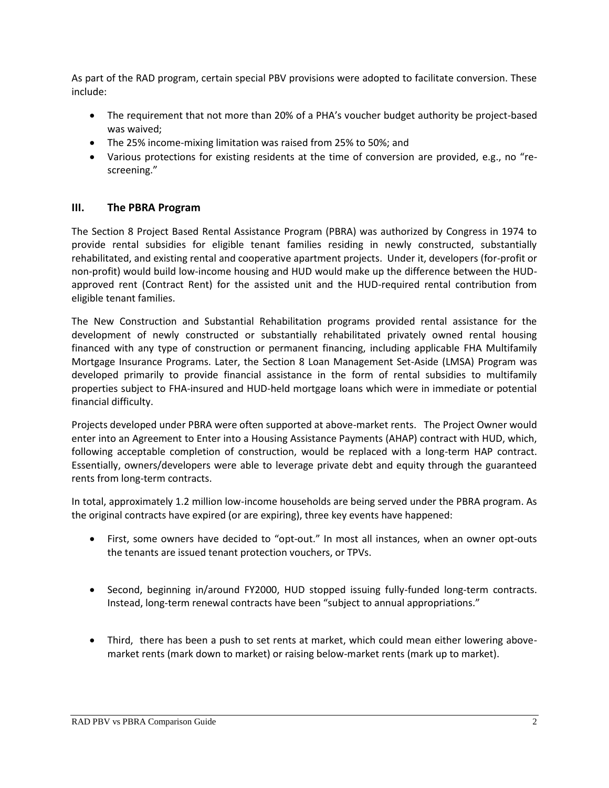As part of the RAD program, certain special PBV provisions were adopted to facilitate conversion. These include:

- The requirement that not more than 20% of a PHA's voucher budget authority be project-based was waived;
- The 25% income-mixing limitation was raised from 25% to 50%; and
- Various protections for existing residents at the time of conversion are provided, e.g., no "rescreening."

## **III. The PBRA Program**

The Section 8 Project Based Rental Assistance Program (PBRA) was authorized by Congress in 1974 to provide rental subsidies for eligible tenant families residing in newly constructed, substantially rehabilitated, and existing rental and cooperative apartment projects. Under it, developers (for-profit or non-profit) would build low-income housing and HUD would make up the difference between the HUDapproved rent (Contract Rent) for the assisted unit and the HUD-required rental contribution from eligible tenant families.

The New Construction and Substantial Rehabilitation programs provided rental assistance for the development of newly constructed or substantially rehabilitated privately owned rental housing financed with any type of construction or permanent financing, including applicable FHA Multifamily Mortgage Insurance Programs. Later, the Section 8 Loan Management Set-Aside (LMSA) Program was developed primarily to provide financial assistance in the form of rental subsidies to multifamily properties subject to FHA-insured and HUD-held mortgage loans which were in immediate or potential financial difficulty.

Projects developed under PBRA were often supported at above-market rents. The Project Owner would enter into an Agreement to Enter into a Housing Assistance Payments (AHAP) contract with HUD, which, following acceptable completion of construction, would be replaced with a long-term HAP contract. Essentially, owners/developers were able to leverage private debt and equity through the guaranteed rents from long-term contracts.

In total, approximately 1.2 million low-income households are being served under the PBRA program. As the original contracts have expired (or are expiring), three key events have happened:

- First, some owners have decided to "opt-out." In most all instances, when an owner opt-outs the tenants are issued tenant protection vouchers, or TPVs.
- Second, beginning in/around FY2000, HUD stopped issuing fully-funded long-term contracts. Instead, long-term renewal contracts have been "subject to annual appropriations."
- Third, there has been a push to set rents at market, which could mean either lowering abovemarket rents (mark down to market) or raising below-market rents (mark up to market).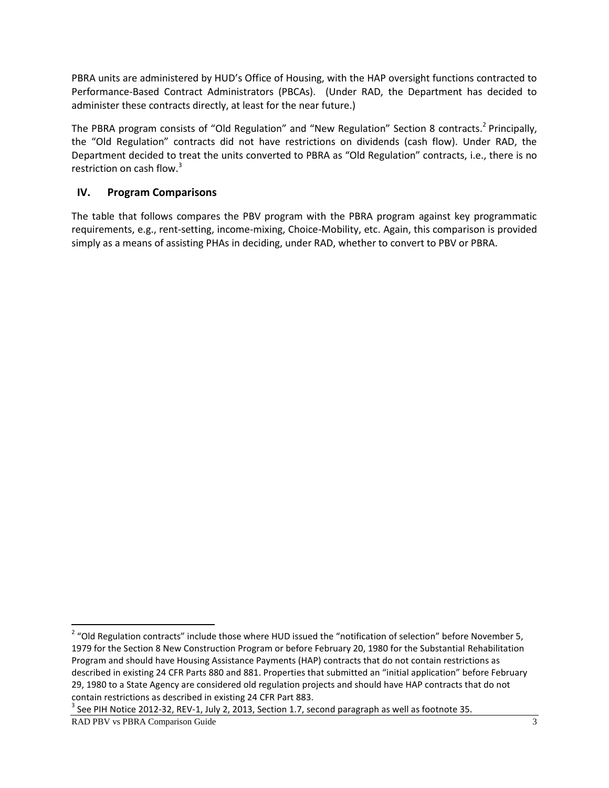PBRA units are administered by HUD's Office of Housing, with the HAP oversight functions contracted to Performance-Based Contract Administrators (PBCAs). (Under RAD, the Department has decided to administer these contracts directly, at least for the near future.)

The PBRA program consists of "Old Regulation" and "New Regulation" Section 8 contracts.<sup>2</sup> Principally, the "Old Regulation" contracts did not have restrictions on dividends (cash flow). Under RAD, the Department decided to treat the units converted to PBRA as "Old Regulation" contracts, i.e., there is no restriction on cash flow.<sup>3</sup>

## **IV. Program Comparisons**

The table that follows compares the PBV program with the PBRA program against key programmatic requirements, e.g., rent-setting, income-mixing, Choice-Mobility, etc. Again, this comparison is provided simply as a means of assisting PHAs in deciding, under RAD, whether to convert to PBV or PBRA.

 $^3$  See PIH Notice 2012-32, REV-1, July 2, 2013, Section 1.7, second paragraph as well as footnote 35.

RAD PBV vs PBRA Comparison Guide 3

 2 "Old Regulation contracts" include those where HUD issued the "notification of selection" before November 5, 1979 for the Section 8 New Construction Program or before February 20, 1980 for the Substantial Rehabilitation Program and should have Housing Assistance Payments (HAP) contracts that do not contain restrictions as described in existing 24 CFR Parts 880 and 881. Properties that submitted an "initial application" before February 29, 1980 to a State Agency are considered old regulation projects and should have HAP contracts that do not contain restrictions as described in existing 24 CFR Part 883.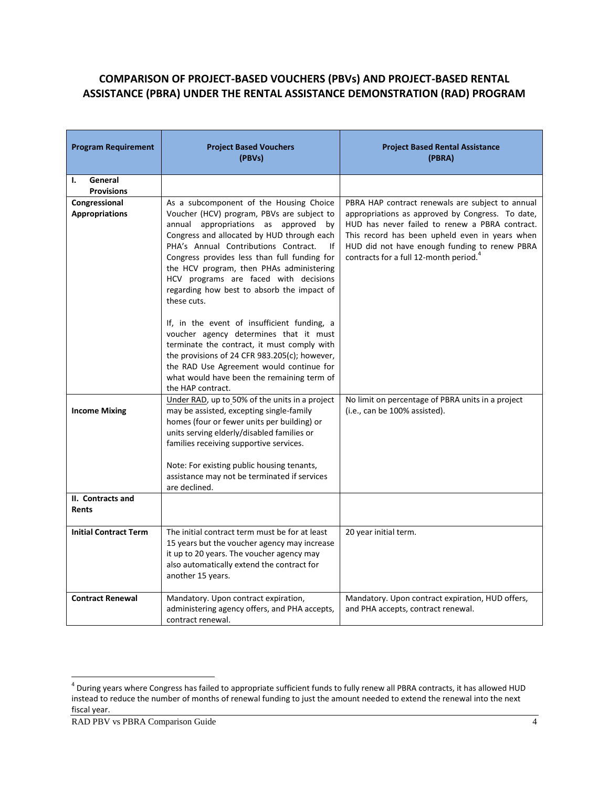# **COMPARISON OF PROJECT-BASED VOUCHERS (PBVs) AND PROJECT-BASED RENTAL ASSISTANCE (PBRA) UNDER THE RENTAL ASSISTANCE DEMONSTRATION (RAD) PROGRAM**

| <b>Program Requirement</b>             | <b>Project Based Vouchers</b><br>(PBVs)                                                                                                                                                                                                                                                                                                                                                                                                                                       | <b>Project Based Rental Assistance</b><br>(PBRA)                                                                                                                                                                                                                                                                |
|----------------------------------------|-------------------------------------------------------------------------------------------------------------------------------------------------------------------------------------------------------------------------------------------------------------------------------------------------------------------------------------------------------------------------------------------------------------------------------------------------------------------------------|-----------------------------------------------------------------------------------------------------------------------------------------------------------------------------------------------------------------------------------------------------------------------------------------------------------------|
| General<br>ı.<br><b>Provisions</b>     |                                                                                                                                                                                                                                                                                                                                                                                                                                                                               |                                                                                                                                                                                                                                                                                                                 |
| Congressional<br><b>Appropriations</b> | As a subcomponent of the Housing Choice<br>Voucher (HCV) program, PBVs are subject to<br>annual appropriations as approved<br>by<br>Congress and allocated by HUD through each<br>PHA's Annual Contributions Contract.<br>lf<br>Congress provides less than full funding for<br>the HCV program, then PHAs administering<br>HCV programs are faced with decisions<br>regarding how best to absorb the impact of<br>these cuts.<br>If, in the event of insufficient funding, a | PBRA HAP contract renewals are subject to annual<br>appropriations as approved by Congress. To date,<br>HUD has never failed to renew a PBRA contract.<br>This record has been upheld even in years when<br>HUD did not have enough funding to renew PBRA<br>contracts for a full 12-month period. <sup>4</sup> |
|                                        | voucher agency determines that it must<br>terminate the contract, it must comply with<br>the provisions of 24 CFR 983.205(c); however,<br>the RAD Use Agreement would continue for<br>what would have been the remaining term of<br>the HAP contract.                                                                                                                                                                                                                         |                                                                                                                                                                                                                                                                                                                 |
| <b>Income Mixing</b>                   | Under RAD, up to 50% of the units in a project<br>may be assisted, excepting single-family<br>homes (four or fewer units per building) or<br>units serving elderly/disabled families or<br>families receiving supportive services.<br>Note: For existing public housing tenants,<br>assistance may not be terminated if services                                                                                                                                              | No limit on percentage of PBRA units in a project<br>(i.e., can be 100% assisted).                                                                                                                                                                                                                              |
| II. Contracts and                      | are declined.                                                                                                                                                                                                                                                                                                                                                                                                                                                                 |                                                                                                                                                                                                                                                                                                                 |
| <b>Rents</b>                           |                                                                                                                                                                                                                                                                                                                                                                                                                                                                               |                                                                                                                                                                                                                                                                                                                 |
| <b>Initial Contract Term</b>           | The initial contract term must be for at least<br>15 years but the voucher agency may increase<br>it up to 20 years. The voucher agency may<br>also automatically extend the contract for<br>another 15 years.                                                                                                                                                                                                                                                                | 20 year initial term.                                                                                                                                                                                                                                                                                           |
| <b>Contract Renewal</b>                | Mandatory. Upon contract expiration,<br>administering agency offers, and PHA accepts,<br>contract renewal.                                                                                                                                                                                                                                                                                                                                                                    | Mandatory. Upon contract expiration, HUD offers,<br>and PHA accepts, contract renewal.                                                                                                                                                                                                                          |

 4 During years where Congress has failed to appropriate sufficient funds to fully renew all PBRA contracts, it has allowed HUD instead to reduce the number of months of renewal funding to just the amount needed to extend the renewal into the next fiscal year.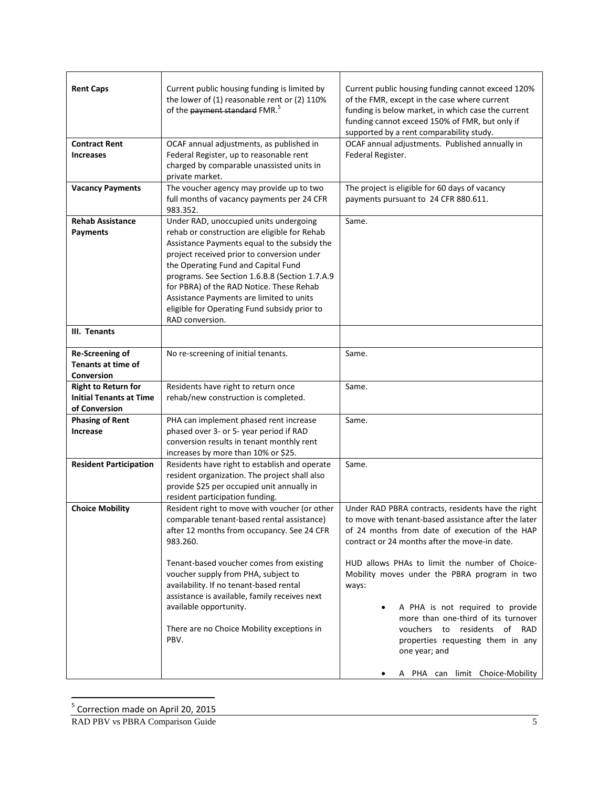| <b>Rent Caps</b>                                                              | Current public housing funding is limited by<br>the lower of (1) reasonable rent or (2) 110%<br>of the payment standard FMR. <sup>5</sup>                                                                                                                                                                                                                                                                                                | Current public housing funding cannot exceed 120%<br>of the FMR, except in the case where current<br>funding is below market, in which case the current<br>funding cannot exceed 150% of FMR, but only if<br>supported by a rent comparability study. |
|-------------------------------------------------------------------------------|------------------------------------------------------------------------------------------------------------------------------------------------------------------------------------------------------------------------------------------------------------------------------------------------------------------------------------------------------------------------------------------------------------------------------------------|-------------------------------------------------------------------------------------------------------------------------------------------------------------------------------------------------------------------------------------------------------|
| <b>Contract Rent</b><br><b>Increases</b>                                      | OCAF annual adjustments, as published in<br>Federal Register, up to reasonable rent<br>charged by comparable unassisted units in<br>private market.                                                                                                                                                                                                                                                                                      | OCAF annual adjustments. Published annually in<br>Federal Register.                                                                                                                                                                                   |
| <b>Vacancy Payments</b>                                                       | The voucher agency may provide up to two<br>full months of vacancy payments per 24 CFR<br>983.352.                                                                                                                                                                                                                                                                                                                                       | The project is eligible for 60 days of vacancy<br>payments pursuant to 24 CFR 880.611.                                                                                                                                                                |
| <b>Rehab Assistance</b><br><b>Payments</b>                                    | Under RAD, unoccupied units undergoing<br>rehab or construction are eligible for Rehab<br>Assistance Payments equal to the subsidy the<br>project received prior to conversion under<br>the Operating Fund and Capital Fund<br>programs. See Section 1.6.B.8 (Section 1.7.A.9<br>for PBRA) of the RAD Notice. These Rehab<br>Assistance Payments are limited to units<br>eligible for Operating Fund subsidy prior to<br>RAD conversion. | Same.                                                                                                                                                                                                                                                 |
| III. Tenants                                                                  |                                                                                                                                                                                                                                                                                                                                                                                                                                          |                                                                                                                                                                                                                                                       |
| <b>Re-Screening of</b><br><b>Tenants at time of</b><br>Conversion             | No re-screening of initial tenants.                                                                                                                                                                                                                                                                                                                                                                                                      | Same.                                                                                                                                                                                                                                                 |
| <b>Right to Return for</b><br><b>Initial Tenants at Time</b><br>of Conversion | Residents have right to return once<br>rehab/new construction is completed.                                                                                                                                                                                                                                                                                                                                                              | Same.                                                                                                                                                                                                                                                 |
| <b>Phasing of Rent</b><br><b>Increase</b>                                     | PHA can implement phased rent increase<br>phased over 3- or 5- year period if RAD<br>conversion results in tenant monthly rent<br>increases by more than 10% or \$25.                                                                                                                                                                                                                                                                    | Same.                                                                                                                                                                                                                                                 |
| <b>Resident Participation</b>                                                 | Residents have right to establish and operate<br>resident organization. The project shall also<br>provide \$25 per occupied unit annually in<br>resident participation funding.                                                                                                                                                                                                                                                          | Same.                                                                                                                                                                                                                                                 |
| <b>Choice Mobility</b>                                                        | Resident right to move with voucher (or other<br>comparable tenant-based rental assistance)<br>after 12 months from occupancy. See 24 CFR<br>983.260.                                                                                                                                                                                                                                                                                    | Under RAD PBRA contracts, residents have the right<br>to move with tenant-based assistance after the later<br>of 24 months from date of execution of the HAP<br>contract or 24 months after the move-in date.                                         |
|                                                                               | Tenant-based voucher comes from existing<br>voucher supply from PHA, subject to<br>availability. If no tenant-based rental<br>assistance is available, family receives next<br>available opportunity.                                                                                                                                                                                                                                    | HUD allows PHAs to limit the number of Choice-<br>Mobility moves under the PBRA program in two<br>ways:<br>A PHA is not required to provide                                                                                                           |
|                                                                               | There are no Choice Mobility exceptions in<br>PBV.                                                                                                                                                                                                                                                                                                                                                                                       | more than one-third of its turnover<br>vouchers to<br>residents of RAD<br>properties requesting them in any<br>one year; and                                                                                                                          |
|                                                                               |                                                                                                                                                                                                                                                                                                                                                                                                                                          | A PHA can limit Choice-Mobility                                                                                                                                                                                                                       |

 5 Correction made on April 20, 2015